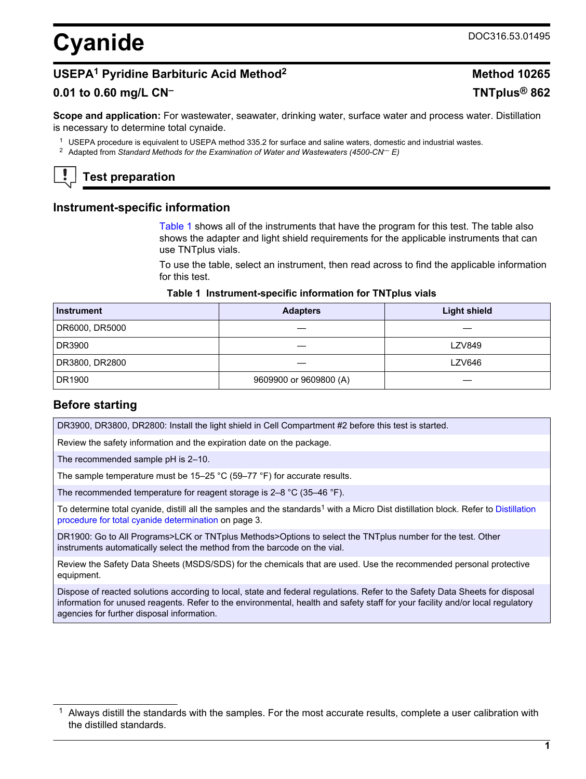# <span id="page-0-0"></span>**Cyanide** DOC316.53.01495

# **USEPA<sup>1</sup> Pyridine Barbituric Acid Method<sup>2</sup> Method 10265**

# **0.01 to 0.60 mg/L CN– TNTplus® 862**

**Scope and application:** For wastewater, seawater, drinking water, surface water and process water. Distillation is necessary to determine total cynaide.

<sup>1</sup> USEPA procedure is equivalent to USEPA method 335.2 for surface and saline waters, domestic and industrial wastes.

<sup>2</sup> Adapted from *Standard Methods for the Examination of Water and Wastewaters (4500-CN— E)*

# **Test preparation**

# **Instrument-specific information**

Table 1 shows all of the instruments that have the program for this test. The table also shows the adapter and light shield requirements for the applicable instruments that can use TNTplus vials.

To use the table, select an instrument, then read across to find the applicable information for this test.

#### **Table 1 Instrument-specific information for TNTplus vials**

| <b>Instrument</b> | <b>Adapters</b>        | <b>Light shield</b> |
|-------------------|------------------------|---------------------|
| DR6000, DR5000    |                        |                     |
| DR3900            |                        | <b>LZV849</b>       |
| DR3800, DR2800    |                        | <b>LZV646</b>       |
| DR1900            | 9609900 or 9609800 (A) |                     |

# **Before starting**

DR3900, DR3800, DR2800: Install the light shield in Cell Compartment #2 before this test is started.

Review the safety information and the expiration date on the package.

The recommended sample pH is 2–10.

The sample temperature must be 15–25 °C (59–77 °F) for accurate results.

The recommended temperature for reagent storage is 2–8 °C (35–46 °F).

To determine total cyanide, distill all the samples and the standards<sup>1</sup> with a Micro Dist distillation block. Refer to [Distillation](#page-2-0) [procedure for total cyanide determination](#page-2-0) on page 3.

DR1900: Go to All Programs>LCK or TNTplus Methods>Options to select the TNTplus number for the test. Other instruments automatically select the method from the barcode on the vial.

Review the Safety Data Sheets (MSDS/SDS) for the chemicals that are used. Use the recommended personal protective equipment.

Dispose of reacted solutions according to local, state and federal regulations. Refer to the Safety Data Sheets for disposal information for unused reagents. Refer to the environmental, health and safety staff for your facility and/or local regulatory agencies for further disposal information.

 $1$  Always distill the standards with the samples. For the most accurate results, complete a user calibration with the distilled standards.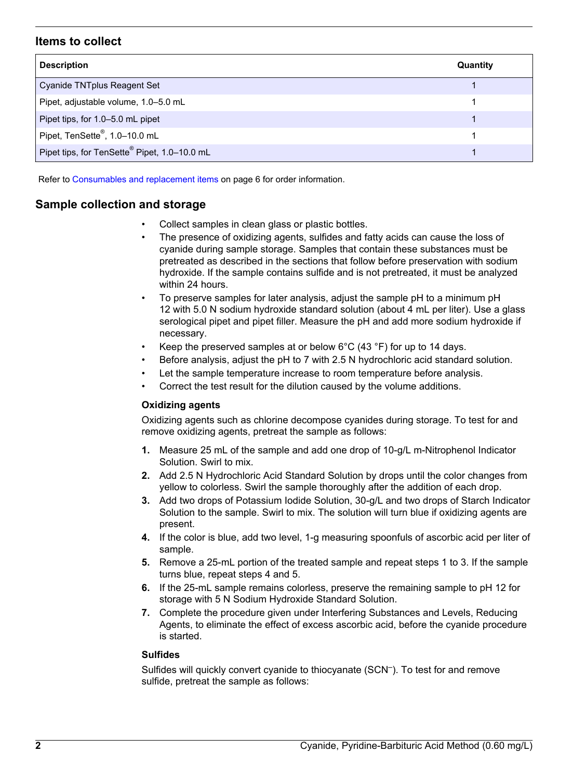# **Items to collect**

| <b>Description</b>                                       | Quantity |
|----------------------------------------------------------|----------|
| Cyanide TNTplus Reagent Set                              |          |
| Pipet, adjustable volume, 1.0-5.0 mL                     |          |
| Pipet tips, for 1.0-5.0 mL pipet                         |          |
| Pipet, TenSette®, 1.0-10.0 mL                            |          |
| Pipet tips, for TenSette <sup>®</sup> Pipet, 1.0-10.0 mL |          |

Refer to [Consumables and replacement items](#page-5-0) on page 6 for order information.

# **Sample collection and storage**

- Collect samples in clean glass or plastic bottles.
- The presence of oxidizing agents, sulfides and fatty acids can cause the loss of cyanide during sample storage. Samples that contain these substances must be pretreated as described in the sections that follow before preservation with sodium hydroxide. If the sample contains sulfide and is not pretreated, it must be analyzed within 24 hours.
- To preserve samples for later analysis, adjust the sample pH to a minimum pH 12 with 5.0 N sodium hydroxide standard solution (about 4 mL per liter). Use a glass serological pipet and pipet filler. Measure the pH and add more sodium hydroxide if necessary.
- Keep the preserved samples at or below  $6^{\circ}$ C (43  $^{\circ}$ F) for up to 14 days.
- Before analysis, adjust the pH to 7 with 2.5 N hydrochloric acid standard solution.
- Let the sample temperature increase to room temperature before analysis.
- Correct the test result for the dilution caused by the volume additions.

#### **Oxidizing agents**

Oxidizing agents such as chlorine decompose cyanides during storage. To test for and remove oxidizing agents, pretreat the sample as follows:

- **1.** Measure 25 mL of the sample and add one drop of 10-g/L m-Nitrophenol Indicator Solution. Swirl to mix.
- **2.** Add 2.5 N Hydrochloric Acid Standard Solution by drops until the color changes from yellow to colorless. Swirl the sample thoroughly after the addition of each drop.
- **3.** Add two drops of Potassium Iodide Solution, 30-g/L and two drops of Starch Indicator Solution to the sample. Swirl to mix. The solution will turn blue if oxidizing agents are present.
- **4.** If the color is blue, add two level, 1-g measuring spoonfuls of ascorbic acid per liter of sample.
- **5.** Remove a 25-mL portion of the treated sample and repeat steps 1 to 3. If the sample turns blue, repeat steps 4 and 5.
- **6.** If the 25-mL sample remains colorless, preserve the remaining sample to pH 12 for storage with 5 N Sodium Hydroxide Standard Solution.
- **7.** Complete the procedure given under Interfering Substances and Levels, Reducing Agents, to eliminate the effect of excess ascorbic acid, before the cyanide procedure is started.

#### **Sulfides**

Sulfides will quickly convert cyanide to thiocyanate (SCN– ). To test for and remove sulfide, pretreat the sample as follows: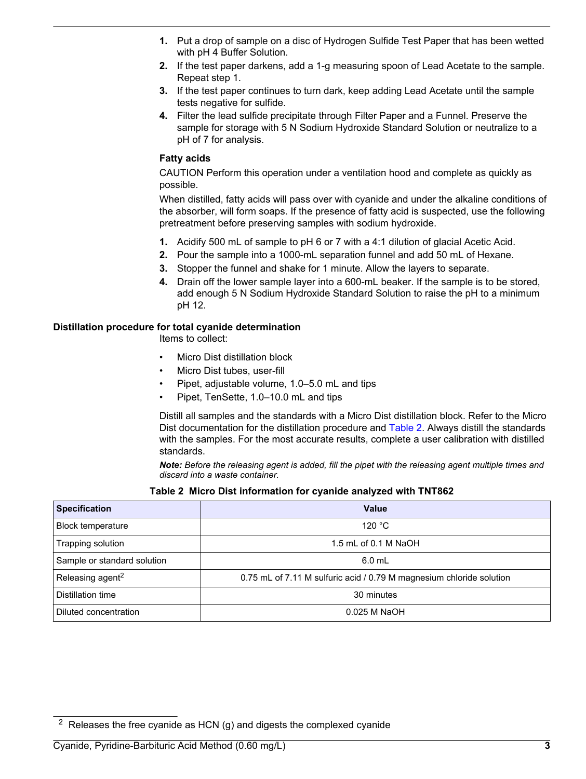- <span id="page-2-0"></span>**1.** Put a drop of sample on a disc of Hydrogen Sulfide Test Paper that has been wetted with pH 4 Buffer Solution.
- **2.** If the test paper darkens, add a 1-g measuring spoon of Lead Acetate to the sample. Repeat step 1.
- **3.** If the test paper continues to turn dark, keep adding Lead Acetate until the sample tests negative for sulfide.
- **4.** Filter the lead sulfide precipitate through Filter Paper and a Funnel. Preserve the sample for storage with 5 N Sodium Hydroxide Standard Solution or neutralize to a pH of 7 for analysis.

#### **Fatty acids**

CAUTION Perform this operation under a ventilation hood and complete as quickly as possible.

When distilled, fatty acids will pass over with cyanide and under the alkaline conditions of the absorber, will form soaps. If the presence of fatty acid is suspected, use the following pretreatment before preserving samples with sodium hydroxide.

- **1.** Acidify 500 mL of sample to pH 6 or 7 with a 4:1 dilution of glacial Acetic Acid.
- **2.** Pour the sample into a 1000-mL separation funnel and add 50 mL of Hexane.
- **3.** Stopper the funnel and shake for 1 minute. Allow the layers to separate.
- **4.** Drain off the lower sample layer into a 600-mL beaker. If the sample is to be stored, add enough 5 N Sodium Hydroxide Standard Solution to raise the pH to a minimum pH 12.

#### **Distillation procedure for total cyanide determination**

Items to collect:

- Micro Dist distillation block
- Micro Dist tubes, user-fill
- Pipet, adjustable volume, 1.0–5.0 mL and tips
- Pipet, TenSette, 1.0–10.0 mL and tips

Distill all samples and the standards with a Micro Dist distillation block. Refer to the Micro Dist documentation for the distillation procedure and Table 2. Always distill the standards with the samples. For the most accurate results, complete a user calibration with distilled standards.

*Note: Before the releasing agent is added, fill the pipet with the releasing agent multiple times and discard into a waste container.*

#### **Table 2 Micro Dist information for cyanide analyzed with TNT862**

| <b>Specification</b>         | Value                                                                |  |
|------------------------------|----------------------------------------------------------------------|--|
| <b>Block temperature</b>     | 120 $\degree$ C                                                      |  |
| Trapping solution            | 1.5 mL of 0.1 M NaOH                                                 |  |
| Sample or standard solution  | $6.0$ mL                                                             |  |
| Releasing agent <sup>2</sup> | 0.75 mL of 7.11 M sulfuric acid / 0.79 M magnesium chloride solution |  |
| Distillation time            | 30 minutes                                                           |  |
| Diluted concentration        | $0.025$ M NaOH                                                       |  |

 $2$  Releases the free cyanide as HCN (g) and digests the complexed cyanide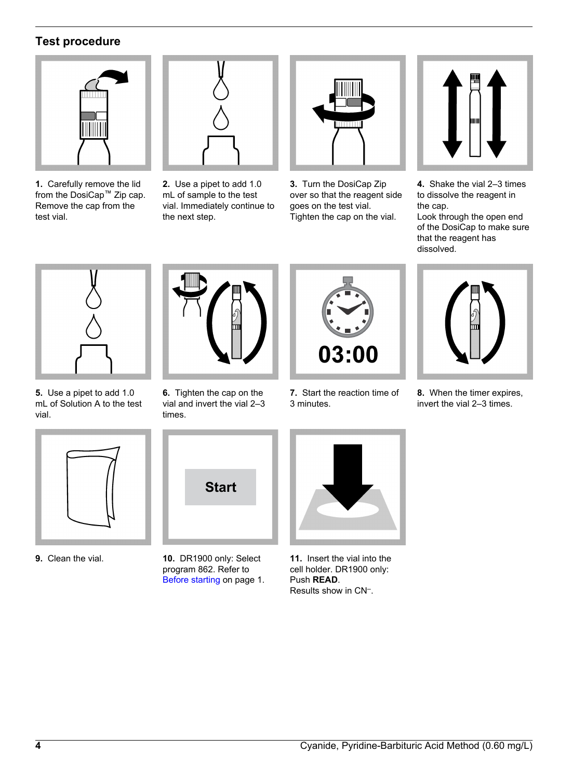# **Test procedure**



**1.** Carefully remove the lid from the DosiCap™ Zip cap. Remove the cap from the test vial.



**2.** Use a pipet to add 1.0 mL of sample to the test vial. Immediately continue to the next step.



**3.** Turn the DosiCap Zip over so that the reagent side goes on the test vial. Tighten the cap on the vial.



**4.** Shake the vial 2–3 times to dissolve the reagent in the cap.

Look through the open end of the DosiCap to make sure that the reagent has dissolved.



**5.** Use a pipet to add 1.0 mL of Solution A to the test vial.



**6.** Tighten the cap on the vial and invert the vial 2–3 times.



**7.** Start the reaction time of 3 minutes.



**8.** When the timer expires, invert the vial 2–3 times.



**9.** Clean the vial.



**10.** DR1900 only: Select program 862. Refer to [Before starting](#page-0-0) on page 1.



**11.** Insert the vial into the cell holder. DR1900 only: Push **READ**. Results show in CN– .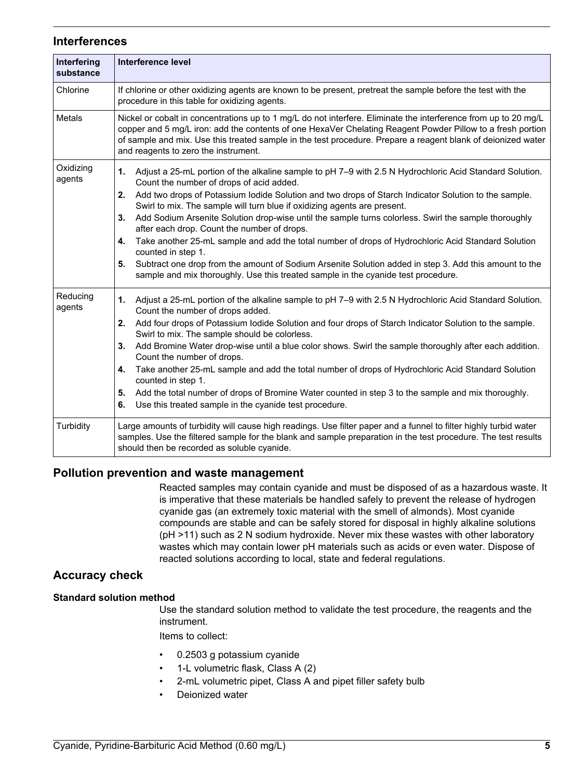### **Interferences**

| Interfering<br>substance | <b>Interference level</b>                                                                                                                                                                                                                                                                                                                                                             |
|--------------------------|---------------------------------------------------------------------------------------------------------------------------------------------------------------------------------------------------------------------------------------------------------------------------------------------------------------------------------------------------------------------------------------|
| Chlorine                 | If chlorine or other oxidizing agents are known to be present, pretreat the sample before the test with the<br>procedure in this table for oxidizing agents.                                                                                                                                                                                                                          |
| Metals                   | Nickel or cobalt in concentrations up to 1 mg/L do not interfere. Eliminate the interference from up to 20 mg/L<br>copper and 5 mg/L iron: add the contents of one HexaVer Chelating Reagent Powder Pillow to a fresh portion<br>of sample and mix. Use this treated sample in the test procedure. Prepare a reagent blank of deionized water<br>and reagents to zero the instrument. |
| Oxidizing<br>agents      | Adjust a 25-mL portion of the alkaline sample to pH 7-9 with 2.5 N Hydrochloric Acid Standard Solution.<br>1.<br>Count the number of drops of acid added.<br>2.                                                                                                                                                                                                                       |
|                          | Add two drops of Potassium Iodide Solution and two drops of Starch Indicator Solution to the sample.<br>Swirl to mix. The sample will turn blue if oxidizing agents are present.                                                                                                                                                                                                      |
|                          | Add Sodium Arsenite Solution drop-wise until the sample turns colorless. Swirl the sample thoroughly<br>3.<br>after each drop. Count the number of drops.                                                                                                                                                                                                                             |
|                          | Take another 25-mL sample and add the total number of drops of Hydrochloric Acid Standard Solution<br>4.<br>counted in step 1.                                                                                                                                                                                                                                                        |
|                          | Subtract one drop from the amount of Sodium Arsenite Solution added in step 3. Add this amount to the<br>5.<br>sample and mix thoroughly. Use this treated sample in the cyanide test procedure.                                                                                                                                                                                      |
| Reducing<br>agents       | Adjust a 25-mL portion of the alkaline sample to pH 7-9 with 2.5 N Hydrochloric Acid Standard Solution.<br>1.<br>Count the number of drops added.                                                                                                                                                                                                                                     |
|                          | Add four drops of Potassium lodide Solution and four drops of Starch Indicator Solution to the sample.<br>2.<br>Swirl to mix. The sample should be colorless.                                                                                                                                                                                                                         |
|                          | Add Bromine Water drop-wise until a blue color shows. Swirl the sample thoroughly after each addition.<br>3.<br>Count the number of drops.                                                                                                                                                                                                                                            |
|                          | Take another 25-mL sample and add the total number of drops of Hydrochloric Acid Standard Solution<br>4.<br>counted in step 1.                                                                                                                                                                                                                                                        |
|                          | Add the total number of drops of Bromine Water counted in step 3 to the sample and mix thoroughly.<br>5.<br>Use this treated sample in the cyanide test procedure.<br>6.                                                                                                                                                                                                              |
|                          |                                                                                                                                                                                                                                                                                                                                                                                       |
| Turbidity                | Large amounts of turbidity will cause high readings. Use filter paper and a funnel to filter highly turbid water<br>samples. Use the filtered sample for the blank and sample preparation in the test procedure. The test results<br>should then be recorded as soluble cyanide.                                                                                                      |

# **Pollution prevention and waste management**

Reacted samples may contain cyanide and must be disposed of as a hazardous waste. It is imperative that these materials be handled safely to prevent the release of hydrogen cyanide gas (an extremely toxic material with the smell of almonds). Most cyanide compounds are stable and can be safely stored for disposal in highly alkaline solutions (pH >11) such as 2 N sodium hydroxide. Never mix these wastes with other laboratory wastes which may contain lower pH materials such as acids or even water. Dispose of reacted solutions according to local, state and federal regulations.

# **Accuracy check**

#### **Standard solution method**

Use the standard solution method to validate the test procedure, the reagents and the instrument.

Items to collect:

- 0.2503 g potassium cyanide
- 1-L volumetric flask, Class A (2)
- 2-mL volumetric pipet, Class A and pipet filler safety bulb
- Deionized water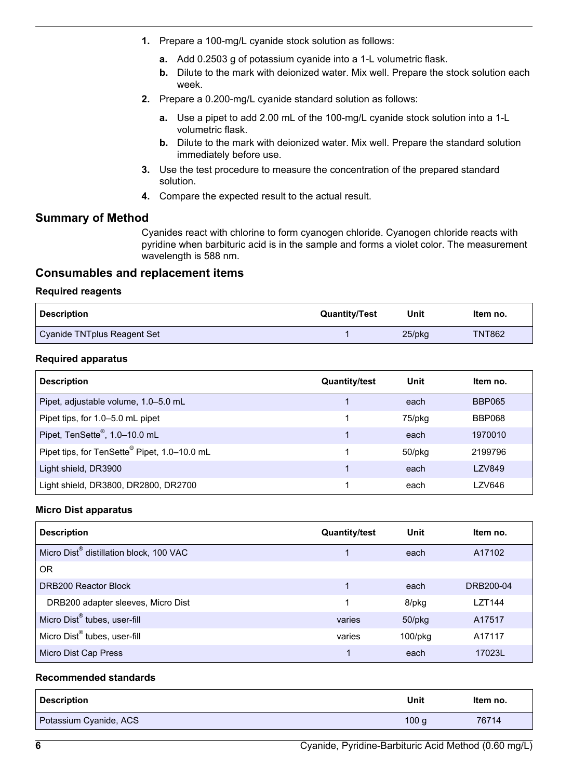- <span id="page-5-0"></span>**1.** Prepare a 100-mg/L cyanide stock solution as follows:
	- **a.** Add 0.2503 g of potassium cyanide into a 1-L volumetric flask.
	- **b.** Dilute to the mark with deionized water. Mix well. Prepare the stock solution each week.
- **2.** Prepare a 0.200-mg/L cyanide standard solution as follows:
	- **a.** Use a pipet to add 2.00 mL of the 100-mg/L cyanide stock solution into a 1-L volumetric flask.
	- **b.** Dilute to the mark with deionized water. Mix well. Prepare the standard solution immediately before use.
- **3.** Use the test procedure to measure the concentration of the prepared standard solution.
- **4.** Compare the expected result to the actual result.

# **Summary of Method**

Cyanides react with chlorine to form cyanogen chloride. Cyanogen chloride reacts with pyridine when barbituric acid is in the sample and forms a violet color. The measurement wavelength is 588 nm.

# **Consumables and replacement items**

#### **Required reagents**

| Description                 | <b>Quantity/Test</b> | Unit   | Item no.      |
|-----------------------------|----------------------|--------|---------------|
| Cyanide TNTplus Reagent Set |                      | 25/pkg | <b>TNT862</b> |

#### **Required apparatus**

| <b>Description</b>                                       | <b>Quantity/test</b> | Unit         | Item no.      |
|----------------------------------------------------------|----------------------|--------------|---------------|
| Pipet, adjustable volume, 1.0–5.0 mL                     |                      | each         | <b>BBP065</b> |
| Pipet tips, for 1.0–5.0 mL pipet                         |                      | 75/pkg       | <b>BBP068</b> |
| Pipet, TenSette®, 1.0-10.0 mL                            |                      | each         | 1970010       |
| Pipet tips, for TenSette <sup>®</sup> Pipet, 1.0-10.0 mL |                      | $50$ /p $kg$ | 2199796       |
| Light shield, DR3900                                     |                      | each         | LZV849        |
| Light shield, DR3800, DR2800, DR2700                     |                      | each         | LZV646        |

#### **Micro Dist apparatus**

| <b>Description</b>                                  | <b>Quantity/test</b> | Unit       | Item no.      |
|-----------------------------------------------------|----------------------|------------|---------------|
| Micro Dist <sup>®</sup> distillation block, 100 VAC |                      | each       | A17102        |
| 0 <sub>R</sub>                                      |                      |            |               |
| DRB200 Reactor Block                                |                      | each       | DRB200-04     |
| DRB200 adapter sleeves, Micro Dist                  |                      | 8/pkg      | <b>LZT144</b> |
| Micro Dist® tubes, user-fill                        | varies               | 50/pkg     | A17517        |
| Micro Dist <sup>®</sup> tubes, user-fill            | varies               | $100$ /pkg | A17117        |
| Micro Dist Cap Press                                |                      | each       | 17023L        |

#### **Recommended standards**

| <b>Description</b>     | Unit | Item no. |
|------------------------|------|----------|
| Potassium Cyanide, ACS | 100q | 76714    |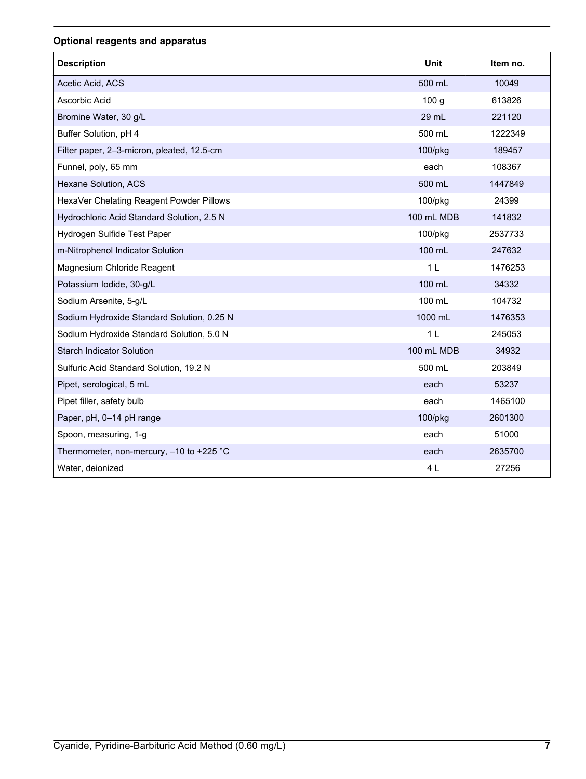# **Optional reagents and apparatus**

| <b>Description</b>                         | Unit             | Item no. |
|--------------------------------------------|------------------|----------|
| Acetic Acid, ACS                           | 500 mL           | 10049    |
| Ascorbic Acid                              | 100 <sub>g</sub> | 613826   |
| Bromine Water, 30 g/L                      | 29 mL            | 221120   |
| Buffer Solution, pH 4                      | 500 mL           | 1222349  |
| Filter paper, 2-3-micron, pleated, 12.5-cm | 100/pkg          | 189457   |
| Funnel, poly, 65 mm                        | each             | 108367   |
| Hexane Solution, ACS                       | 500 mL           | 1447849  |
| HexaVer Chelating Reagent Powder Pillows   | 100/pkg          | 24399    |
| Hydrochloric Acid Standard Solution, 2.5 N | 100 mL MDB       | 141832   |
| Hydrogen Sulfide Test Paper                | 100/pkg          | 2537733  |
| m-Nitrophenol Indicator Solution           | 100 mL           | 247632   |
| Magnesium Chloride Reagent                 | 1 <sub>L</sub>   | 1476253  |
| Potassium Iodide, 30-g/L                   | 100 mL           | 34332    |
| Sodium Arsenite, 5-g/L                     | 100 mL           | 104732   |
| Sodium Hydroxide Standard Solution, 0.25 N | 1000 mL          | 1476353  |
| Sodium Hydroxide Standard Solution, 5.0 N  | 1 <sub>L</sub>   | 245053   |
| <b>Starch Indicator Solution</b>           | 100 mL MDB       | 34932    |
| Sulfuric Acid Standard Solution, 19.2 N    | 500 mL           | 203849   |
| Pipet, serological, 5 mL                   | each             | 53237    |
| Pipet filler, safety bulb                  | each             | 1465100  |
| Paper, pH, 0-14 pH range                   | 100/pkg          | 2601300  |
| Spoon, measuring, 1-g                      | each             | 51000    |
| Thermometer, non-mercury, -10 to +225 °C   | each             | 2635700  |
| Water, deionized                           | 4 L              | 27256    |